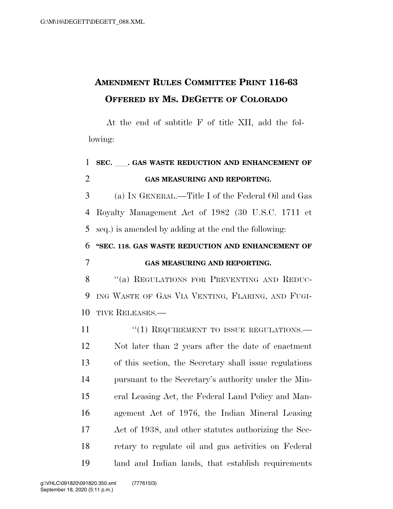## **AMENDMENT RULES COMMITTEE PRINT 116-63 OFFERED BY MS. DEGETTE OF COLORADO**

At the end of subtitle F of title XII, add the following:

## **SEC.** ll**. GAS WASTE REDUCTION AND ENHANCEMENT OF GAS MEASURING AND REPORTING.**  (a) IN GENERAL.—Title I of the Federal Oil and Gas Royalty Management Act of 1982 (30 U.S.C. 1711 et seq.) is amended by adding at the end the following: **''SEC. 118. GAS WASTE REDUCTION AND ENHANCEMENT OF GAS MEASURING AND REPORTING.**  8 "(a) REGULATIONS FOR PREVENTING AND REDUC- ING WASTE OF GAS VIA VENTING, FLARING, AND FUGI- TIVE RELEASES.— 11 "(1) REQUIREMENT TO ISSUE REGULATIONS.— Not later than 2 years after the date of enactment of this section, the Secretary shall issue regulations pursuant to the Secretary's authority under the Min- eral Leasing Act, the Federal Land Policy and Man- agement Act of 1976, the Indian Mineral Leasing Act of 1938, and other statutes authorizing the Sec- retary to regulate oil and gas activities on Federal land and Indian lands, that establish requirements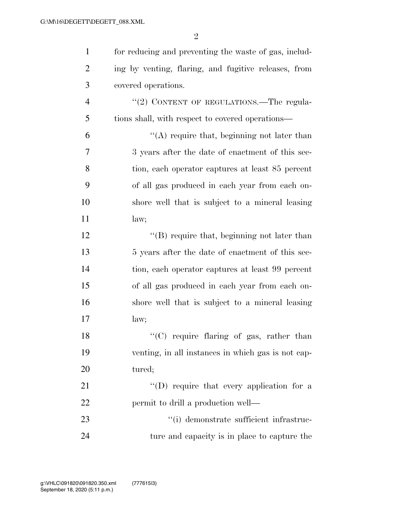| $\mathbf{1}$   | for reducing and preventing the waste of gas, includ- |
|----------------|-------------------------------------------------------|
| $\overline{2}$ | ing by venting, flaring, and fugitive releases, from  |
| 3              | covered operations.                                   |
| $\overline{4}$ | "(2) CONTENT OF REGULATIONS.—The regula-              |
| 5              | tions shall, with respect to covered operations—      |
| 6              | $\lq\lq$ require that, beginning not later than       |
| $\overline{7}$ | 3 years after the date of enactment of this sec-      |
| 8              | tion, each operator captures at least 85 percent      |
| 9              | of all gas produced in each year from each on-        |
| 10             | shore well that is subject to a mineral leasing       |
| 11             | law;                                                  |
| 12             | $\lq\lq$ require that, beginning not later than       |
| 13             | 5 years after the date of enactment of this sec-      |
| 14             | tion, each operator captures at least 99 percent      |
| 15             | of all gas produced in each year from each on-        |
| 16             | shore well that is subject to a mineral leasing       |
| 17             | law;                                                  |
| 18             | "(C) require flaring of gas, rather than              |
| 19             | venting, in all instances in which gas is not cap-    |
| 20             | tured;                                                |
| 21             | "(D) require that every application for a             |
| 22             | permit to drill a production well—                    |
| 23             | "(i) demonstrate sufficient infrastruc-               |
| 24             | ture and capacity is in place to capture the          |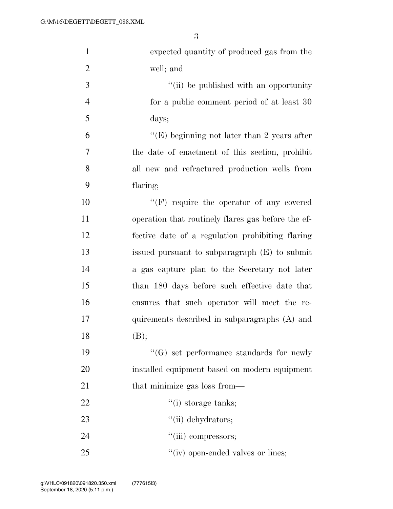| $\mathbf{1}$   | expected quantity of produced gas from the         |
|----------------|----------------------------------------------------|
| $\overline{2}$ | well; and                                          |
| 3              | "(ii) be published with an opportunity             |
| $\overline{4}$ | for a public comment period of at least 30         |
| 5              | days;                                              |
| 6              | "(E) beginning not later than 2 years after        |
| $\tau$         | the date of enactment of this section, prohibit    |
| 8              | all new and refractured production wells from      |
| 9              | flaring;                                           |
| 10             | $\lq\lq(F)$ require the operator of any covered    |
| 11             | operation that routinely flares gas before the ef- |
| 12             | fective date of a regulation prohibiting flaring   |
| 13             | issued pursuant to subparagraph (E) to submit      |
| 14             | a gas capture plan to the Secretary not later      |
| 15             | than 180 days before such effective date that      |
| 16             | ensures that such operator will meet the re-       |
| 17             | quirements described in subparagraphs (A) and      |
| 18             | (B);                                               |
| 19             | $\lq\lq(G)$ set performance standards for newly    |
| 20             | installed equipment based on modern equipment      |
| 21             | that minimize gas loss from—                       |
| 22             | $f'(i)$ storage tanks;                             |
| 23             | "(ii) dehydrators;                                 |
| 24             | "(iii) compressors;                                |
| 25             | "(iv) open-ended valves or lines;                  |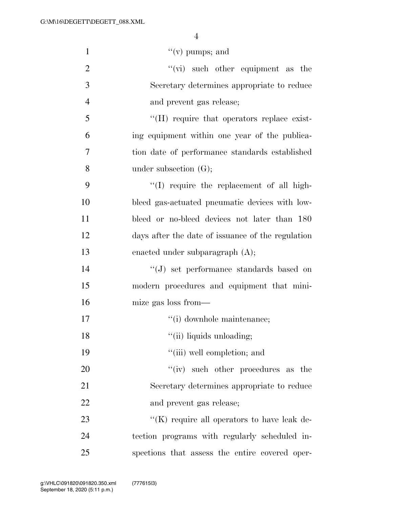| $\mathbf{1}$   | "(v) pumps; and                                   |
|----------------|---------------------------------------------------|
| $\overline{2}$ | $\lq\lq$ such other equipment as the              |
| 3              | Secretary determines appropriate to reduce        |
| $\overline{4}$ | and prevent gas release;                          |
| 5              | "(H) require that operators replace exist-        |
| 6              | ing equipment within one year of the publica-     |
| 7              | tion date of performance standards established    |
| 8              | under subsection $(G);$                           |
| 9              | "(I) require the replacement of all high-         |
| 10             | bleed gas-actuated pneumatic devices with low-    |
| 11             | bleed or no-bleed devices not later than 180      |
| 12             | days after the date of issuance of the regulation |
| 13             | enacted under subparagraph $(A)$ ;                |
| 14             | $``(J)$ set performance standards based on        |
| 15             | modern procedures and equipment that mini-        |
| 16             | mize gas loss from—                               |
| 17             | "(i) downhole maintenance;                        |
| 18             | "(ii) liquids unloading;                          |
| 19             | "(iii) well completion; and                       |
| 20             | "(iv) such other procedures as the                |
| 21             | Secretary determines appropriate to reduce        |
| 22             | and prevent gas release;                          |
| 23             | " $(K)$ require all operators to have leak de-    |
| 24             | tection programs with regularly scheduled in-     |
| 25             | spections that assess the entire covered oper-    |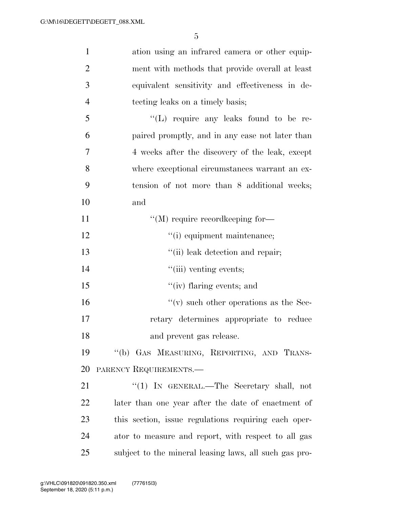| $\mathbf{1}$   | ation using an infrared camera or other equip-         |
|----------------|--------------------------------------------------------|
| $\overline{2}$ | ment with methods that provide overall at least        |
| 3              | equivalent sensitivity and effectiveness in de-        |
| $\overline{4}$ | tecting leaks on a timely basis;                       |
| 5              | "(L) require any leaks found to be re-                 |
| 6              | paired promptly, and in any case not later than        |
| 7              | 4 weeks after the discovery of the leak, except        |
| 8              | where exceptional circumstances warrant an ex-         |
| 9              | tension of not more than 8 additional weeks;           |
| 10             | and                                                    |
| 11             | $\lq\lq (M)$ require record<br>keeping for—            |
| 12             | "(i) equipment maintenance;                            |
| 13             | "(ii) leak detection and repair;                       |
| 14             | "(iii) venting events;                                 |
| 15             | $``(iv)$ flaring events; and                           |
| 16             | $f'(v)$ such other operations as the Sec-              |
| 17             | retary determines appropriate to reduce                |
| 18             | and prevent gas release.                               |
| 19             | "(b) GAS MEASURING, REPORTING, AND TRANS-              |
| 20             | PARENCY REQUIREMENTS.                                  |
| 21             | "(1) IN GENERAL.—The Secretary shall, not              |
| 22             | later than one year after the date of enactment of     |
| 23             | this section, issue regulations requiring each oper-   |
| 24             | ator to measure and report, with respect to all gas    |
| 25             | subject to the mineral leasing laws, all such gas pro- |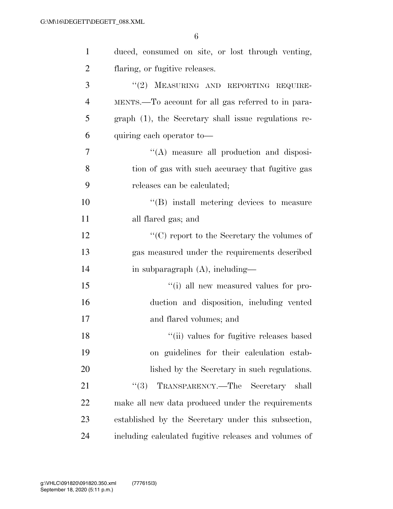| $\mathbf{1}$   | duced, consumed on site, or lost through venting,                |
|----------------|------------------------------------------------------------------|
| $\overline{2}$ | flaring, or fugitive releases.                                   |
| 3              | "(2) MEASURING AND REPORTING REQUIRE-                            |
| $\overline{4}$ | MENTS.—To account for all gas referred to in para-               |
| 5              | graph (1), the Secretary shall issue regulations re-             |
| 6              | quiring each operator to-                                        |
| 7              | "(A) measure all production and disposi-                         |
| 8              | tion of gas with such accuracy that fugitive gas                 |
| 9              | releases can be calculated;                                      |
| 10             | "(B) install metering devices to measure                         |
| 11             | all flared gas; and                                              |
| 12             | $\lq\lq$ <sup>c</sup> (C) report to the Secretary the volumes of |
| 13             | gas measured under the requirements described                    |
| 14             | in subparagraph $(A)$ , including—                               |
| 15             | "(i) all new measured values for pro-                            |
| 16             | duction and disposition, including vented                        |
| 17             | and flared volumes; and                                          |
| 18             | "(ii) values for fugitive releases based                         |
| 19             | on guidelines for their calculation estab-                       |
| 20             | lished by the Secretary in such regulations.                     |
| 21             | TRANSPARENCY.—The Secretary shall<br>(3)                         |
| 22             | make all new data produced under the requirements                |
| 23             | established by the Secretary under this subsection,              |
| 24             | including calculated fugitive releases and volumes of            |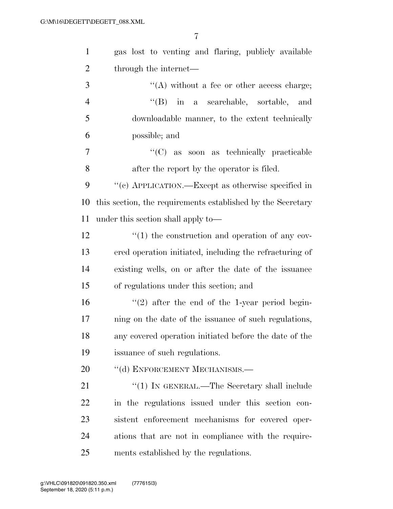| $\mathbf{1}$   | gas lost to venting and flaring, publicly available             |
|----------------|-----------------------------------------------------------------|
| $\overline{2}$ | through the internet—                                           |
| 3              | $\lq\lq$ without a fee or other access charge;                  |
| $\overline{4}$ | $\lq\lq$ (B) in a searchable, sortable,<br>and                  |
| 5              | downloadable manner, to the extent technically                  |
| 6              | possible; and                                                   |
| 7              | "(C) as soon as technically practicable                         |
| 8              | after the report by the operator is filed.                      |
| 9              | "(c) APPLICATION.—Except as otherwise specified in              |
| 10             | this section, the requirements established by the Secretary     |
| 11             | under this section shall apply to—                              |
| 12             | $\cdot\cdot\cdot(1)$ the construction and operation of any cov- |
| 13             | ered operation initiated, including the refracturing of         |
| 14             | existing wells, on or after the date of the issuance            |
| 15             | of regulations under this section; and                          |
| 16             | $\lq(2)$ after the end of the 1-year period begin-              |
| 17             | ning on the date of the issuance of such regulations,           |
| 18             | any covered operation initiated before the date of the          |
| 19             | issuance of such regulations.                                   |
| 20             | "(d) ENFORCEMENT MECHANISMS.—                                   |
| 21             | $\lq(1)$ In GENERAL.—The Secretary shall include                |
| 22             | in the regulations issued under this section con-               |
| 23             | sistent enforcement mechanisms for covered oper-                |
| 24             | ations that are not in compliance with the require-             |
| 25             | ments established by the regulations.                           |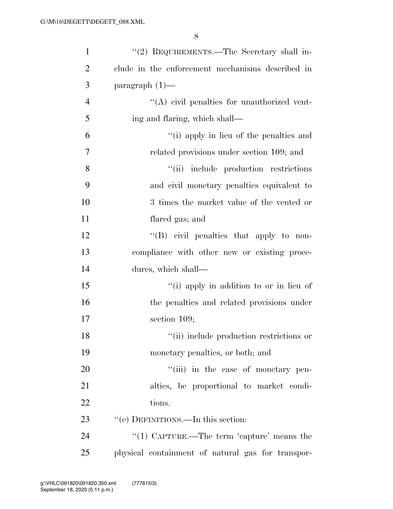| $\mathbf{1}$   | "(2) REQUIREMENTS.—The Secretary shall in-        |
|----------------|---------------------------------------------------|
| $\overline{2}$ | clude in the enforcement mechanisms described in  |
| 3              | paragraph $(1)$ —                                 |
| $\overline{4}$ | $\lq\lq$ civil penalties for unauthorized vent-   |
| 5              | ing and flaring, which shall—                     |
| 6              | "(i) apply in lieu of the penalties and           |
| 7              | related provisions under section 109; and         |
| 8              | "(ii) include production restrictions             |
| 9              | and civil monetary penalties equivalent to        |
| 10             | 3 times the market value of the vented or         |
| 11             | flared gas; and                                   |
| 12             | $\lq\lq$ (B) civil penalties that apply to non-   |
| 13             | compliance with other new or existing proce-      |
| 14             | dures, which shall—                               |
| 15             | "(i) apply in addition to or in lieu of           |
| 16             | the penalties and related provisions under        |
| 17             | section $109$ ;                                   |
| 18             | "(ii) include production restrictions or          |
| 19             | monetary penalties, or both; and                  |
| $20\,$         | "(iii) in the case of monetary pen-               |
| 21             | alties, be proportional to market condi-          |
| 22             | tions.                                            |
| 23             | "(e) DEFINITIONS.—In this section:                |
| 24             | "(1) CAPTURE.—The term 'capture' means the        |
| 25             | physical containment of natural gas for transpor- |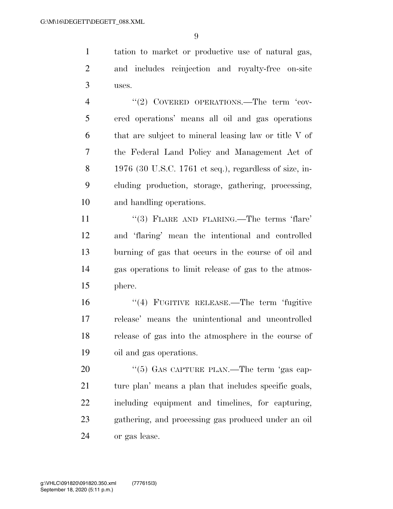tation to market or productive use of natural gas, and includes reinjection and royalty-free on-site uses.

4 "(2) COVERED OPERATIONS.—The term 'cov- ered operations' means all oil and gas operations that are subject to mineral leasing law or title V of the Federal Land Policy and Management Act of 1976 (30 U.S.C. 1761 et seq.), regardless of size, in- cluding production, storage, gathering, processing, and handling operations.

11 ''(3) FLARE AND FLARING.—The terms 'flare' and 'flaring' mean the intentional and controlled burning of gas that occurs in the course of oil and gas operations to limit release of gas to the atmos-phere.

 ''(4) FUGITIVE RELEASE.—The term 'fugitive release' means the unintentional and uncontrolled release of gas into the atmosphere in the course of oil and gas operations.

20 "(5) GAS CAPTURE PLAN.—The term 'gas cap-21 ture plan' means a plan that includes specific goals, including equipment and timelines, for capturing, gathering, and processing gas produced under an oil or gas lease.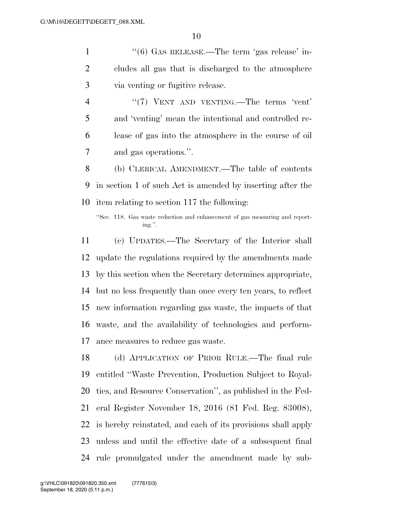1 ''(6) GAS RELEASE.—The term 'gas release' in- cludes all gas that is discharged to the atmosphere via venting or fugitive release.

4 "(7) VENT AND VENTING.—The terms 'vent' and 'venting' mean the intentional and controlled re- lease of gas into the atmosphere in the course of oil and gas operations.''.

 (b) CLERICAL AMENDMENT.—The table of contents in section 1 of such Act is amended by inserting after the item relating to section 117 the following:

 (c) UPDATES.—The Secretary of the Interior shall update the regulations required by the amendments made by this section when the Secretary determines appropriate, but no less frequently than once every ten years, to reflect new information regarding gas waste, the impacts of that waste, and the availability of technologies and perform-ance measures to reduce gas waste.

 (d) APPLICATION OF PRIOR RULE.—The final rule entitled ''Waste Prevention, Production Subject to Royal- ties, and Resource Conservation'', as published in the Fed- eral Register November 18, 2016 (81 Fed. Reg. 83008), is hereby reinstated, and each of its provisions shall apply unless and until the effective date of a subsequent final rule promulgated under the amendment made by sub-

<sup>&#</sup>x27;'Sec. 118. Gas waste reduction and enhancement of gas measuring and reporting.''.